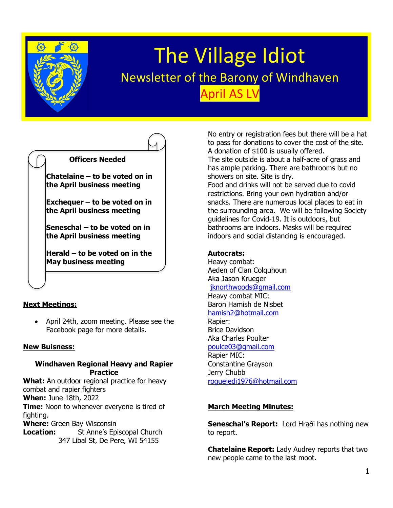

# The Village Idiot Newsletter of the Barony of Windhaven April AS LV



**Seneschal – to be voted on in the April business meeting**

**Herald – to be voted on in the May business meeting**

## **Next Meetings:**

• April 24th, zoom meeting. Please see the Facebook page for more details.

#### **New Buisness:**

#### **Windhaven Regional Heavy and Rapier Practice**

**What:** An outdoor regional practice for heavy combat and rapier fighters **When:** June 18th, 2022 **Time:** Noon to whenever everyone is tired of fighting. **Where:** Green Bay Wisconsin **Location:** St Anne's Episcopal Church

347 Libal St, De Pere, WI 54155

No entry or registration fees but there will be a hat to pass for donations to cover the cost of the site. A donation of \$100 is usually offered. The site outside is about a half-acre of grass and has ample parking. There are bathrooms but no showers on site. Site is dry. Food and drinks will not be served due to covid restrictions. Bring your own hydration and/or snacks. There are numerous local places to eat in the surrounding area. We will be following Society

guidelines for Covid-19. It is outdoors, but bathrooms are indoors. Masks will be required indoors and social distancing is encouraged.

### **Autocrats:**

Heavy combat: Aeden of Clan Colquhoun Aka Jason Krueger [jknorthwoods@gmail.com](mailto:jknorthwoods@gmail.com) Heavy combat MIC: Baron Hamish de Nisbet [hamish2@hotmail.com](mailto:hamish2@hotmail.com) Rapier: Brice Davidson Aka Charles Poulter [poulce03@gmail.com](mailto:poulce03@gmail.com) Rapier MIC: Constantine Grayson Jerry Chubb [roguejedi1976@hotmail.com](mailto:roguejedi1976@hotmail.com)

## **March Meeting Minutes:**

**Seneschal's Report:** Lord Hraði has nothing new to report.

**Chatelaine Report:** Lady Audrey reports that two new people came to the last moot.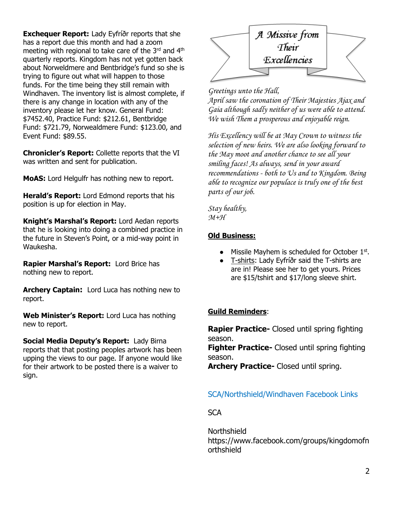**Exchequer Report:** Lady Eyfríðr reports that she has a report due this month and had a zoom meeting with regional to take care of the 3<sup>rd</sup> and 4<sup>th</sup> quarterly reports. Kingdom has not yet gotten back about Norweldmere and Bentbridge's fund so she is trying to figure out what will happen to those funds. For the time being they still remain with Windhaven. The inventory list is almost complete, if there is any change in location with any of the inventory please let her know. General Fund: \$7452.40, Practice Fund: \$212.61, Bentbridge Fund: \$721.79, Norwealdmere Fund: \$123.00, and Event Fund: \$89.55.

**Chronicler's Report:** Collette reports that the VI was written and sent for publication.

**MoAS:** Lord Helgulfr has nothing new to report.

**Herald's Report:** Lord Edmond reports that his position is up for election in May.

**Knight's Marshal's Report:** Lord Aedan reports that he is looking into doing a combined practice in the future in Steven's Point, or a mid-way point in Waukesha.

**Rapier Marshal's Report:** Lord Brice has nothing new to report.

**Archery Captain:** Lord Luca has nothing new to report.

**Web Minister's Report:** Lord Luca has nothing new to report.

**Social Media Deputy's Report:** Lady Birna reports that that posting peoples artwork has been upping the views to our page. If anyone would like for their artwork to be posted there is a waiver to sign.



#### *Greetings unto the Hall,*

*April saw the coronation of Their Majesties Ajax and Gaia although sadly neither of us were able to attend. We wish Them a prosperous and enjoyable reign.*

*His Excellency will be at May Crown to witness the selection of new heirs. We are also looking forward to the May moot and another chance to see all your smiling faces! As always, send in your award recommendations - both to Us and to Kingdom. Being able to recognize our populace is truly one of the best parts of our job.*

*Stay healthy, M+H*

#### **Old Business:**

- Missile Mayhem is scheduled for October 1st.
- T-shirts: Lady Eyfríðr said the T-shirts are are in! Please see her to get yours. Prices are \$15/tshirt and \$17/long sleeve shirt.

#### **Guild Reminders**:

**Rapier Practice-** Closed until spring fighting season. **Fighter Practice-** Closed until spring fighting season.

**Archery Practice-** Closed until spring.

## SCA/Northshield/Windhaven Facebook Links

**SCA** 

Northshield https://www.facebook.com/groups/kingdomofn orthshield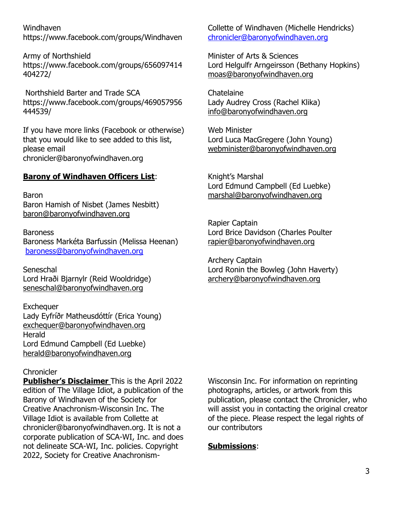Windhaven <https://www.facebook.com/groups/Windhaven>

Army of Northshield https://www.facebook.com/groups/656097414 404272/

Northshield Barter and Trade SCA https://www.facebook.com/groups/469057956 444539/

If you have more links (Facebook or otherwise) that you would like to see added to this list, please email chronicler@baronyofwindhaven.org

## **Barony of Windhaven Officers List**:

Baron Baron Hamish of Nisbet (James Nesbitt) [baron@baronyofwindhaven.org](mailto:baron@baronyofwindhaven.org)

**Baroness** Baroness Markéta Barfussin (Melissa Heenan) [baroness@baronyofwindhaven.org](mailto:baroness@baronyofwindhaven.org)

**Seneschal** Lord Hraði Bjarnylr (Reid Wooldridge) seneschal@baronyofwindhaven.org

**Exchequer** Lady Eyfríðr Matheusdóttír (Erica Young) [exchequer@baronyofwindhaven.org](mailto:exchequer@baronyofwindhaven.org) **Herald** Lord Edmund Campbell (Ed Luebke) [herald@baronyofwindhaven.org](mailto:herald@baronyofwindhaven.org)

#### **Chronicler**

**Publisher's Disclaimer** This is the April 2022 edition of The Village Idiot, a publication of the Barony of Windhaven of the Society for Creative Anachronism-Wisconsin Inc. The Village Idiot is available from Collette at chronicler@baronyofwindhaven.org. It is not a corporate publication of SCA-WI, Inc. and does not delineate SCA-WI, Inc. policies. Copyright 2022, Society for Creative AnachronismCollette of Windhaven (Michelle Hendricks) [chronicler@baronyofwindhaven.org](mailto:chronicler@baronyofwindhaven.org)

Minister of Arts & Sciences Lord Helgulfr Arngeirsson (Bethany Hopkins) [moas@baronyofwindhaven.org](mailto:moas@baronyofwindhaven.org)

Chatelaine Lady Audrey Cross (Rachel Klika) [info@baronyofwindhaven.org](mailto:info@baronyofwindhaven.org)

Web Minister Lord Luca MacGregere (John Young) [webminister@baronyofwindhaven.org](mailto:webminister@baronyofwindhaven.org)

Knight's Marshal Lord Edmund Campbell (Ed Luebke) [marshal@baronyofwindhaven.org](mailto:marshal@baronyofwindhaven.org)

Rapier Captain Lord Brice Davidson (Charles Poulter [rapier@baronyofwindhaven.org](mailto:rapier@baronyofwindhaven.org)

Archery Captain Lord Ronin the Bowleg (John Haverty) [archery@baronyofwindhaven.org](mailto:archery@baronyofwindhaven.org)

Wisconsin Inc. For information on reprinting photographs, articles, or artwork from this publication, please contact the Chronicler, who will assist you in contacting the original creator of the piece. Please respect the legal rights of our contributors

## **Submissions**: